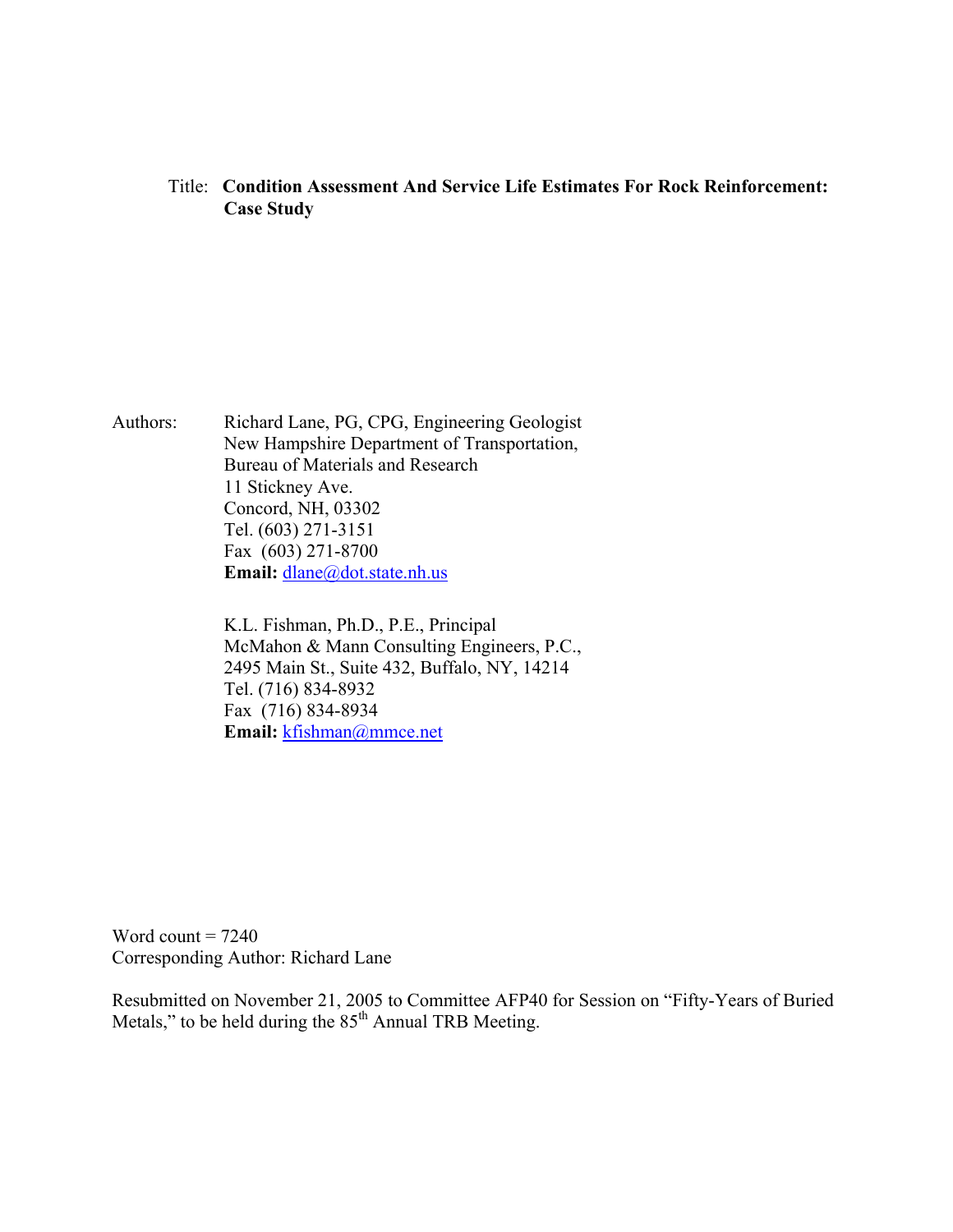Title: **Condition Assessment And Service Life Estimates For Rock Reinforcement: Case Study** 

Authors: Richard Lane, PG, CPG, Engineering Geologist New Hampshire Department of Transportation, Bureau of Materials and Research 11 Stickney Ave. Concord, NH, 03302 Tel. (603) 271-3151 Fax (603) 271-8700 Email: dlane@dot.state.nh.us

> K.L. Fishman, Ph.D., P.E., Principal McMahon & Mann Consulting Engineers, P.C., 2495 Main St., Suite 432, Buffalo, NY, 14214 Tel. (716) 834-8932 Fax (716) 834-8934 **Email:** kfishman@mmce.net

Word count  $= 7240$ Corresponding Author: Richard Lane

Resubmitted on November 21, 2005 to Committee AFP40 for Session on "Fifty-Years of Buried Metals," to be held during the  $85<sup>th</sup>$  Annual TRB Meeting.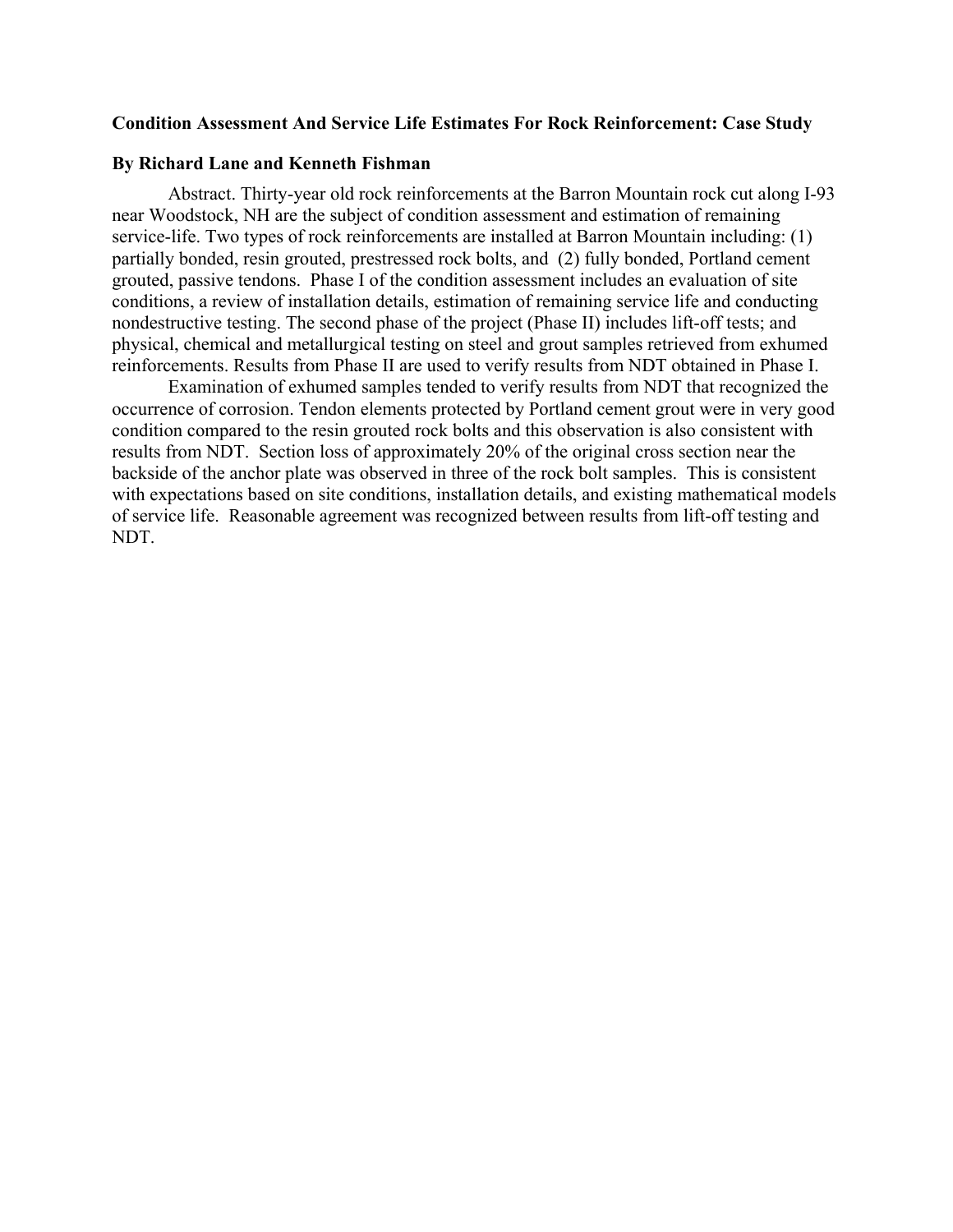#### **Condition Assessment And Service Life Estimates For Rock Reinforcement: Case Study**

#### **By Richard Lane and Kenneth Fishman**

Abstract. Thirty-year old rock reinforcements at the Barron Mountain rock cut along I-93 near Woodstock, NH are the subject of condition assessment and estimation of remaining service-life. Two types of rock reinforcements are installed at Barron Mountain including: (1) partially bonded, resin grouted, prestressed rock bolts, and (2) fully bonded, Portland cement grouted, passive tendons. Phase I of the condition assessment includes an evaluation of site conditions, a review of installation details, estimation of remaining service life and conducting nondestructive testing. The second phase of the project (Phase II) includes lift-off tests; and physical, chemical and metallurgical testing on steel and grout samples retrieved from exhumed reinforcements. Results from Phase II are used to verify results from NDT obtained in Phase I.

Examination of exhumed samples tended to verify results from NDT that recognized the occurrence of corrosion. Tendon elements protected by Portland cement grout were in very good condition compared to the resin grouted rock bolts and this observation is also consistent with results from NDT. Section loss of approximately 20% of the original cross section near the backside of the anchor plate was observed in three of the rock bolt samples. This is consistent with expectations based on site conditions, installation details, and existing mathematical models of service life. Reasonable agreement was recognized between results from lift-off testing and NDT.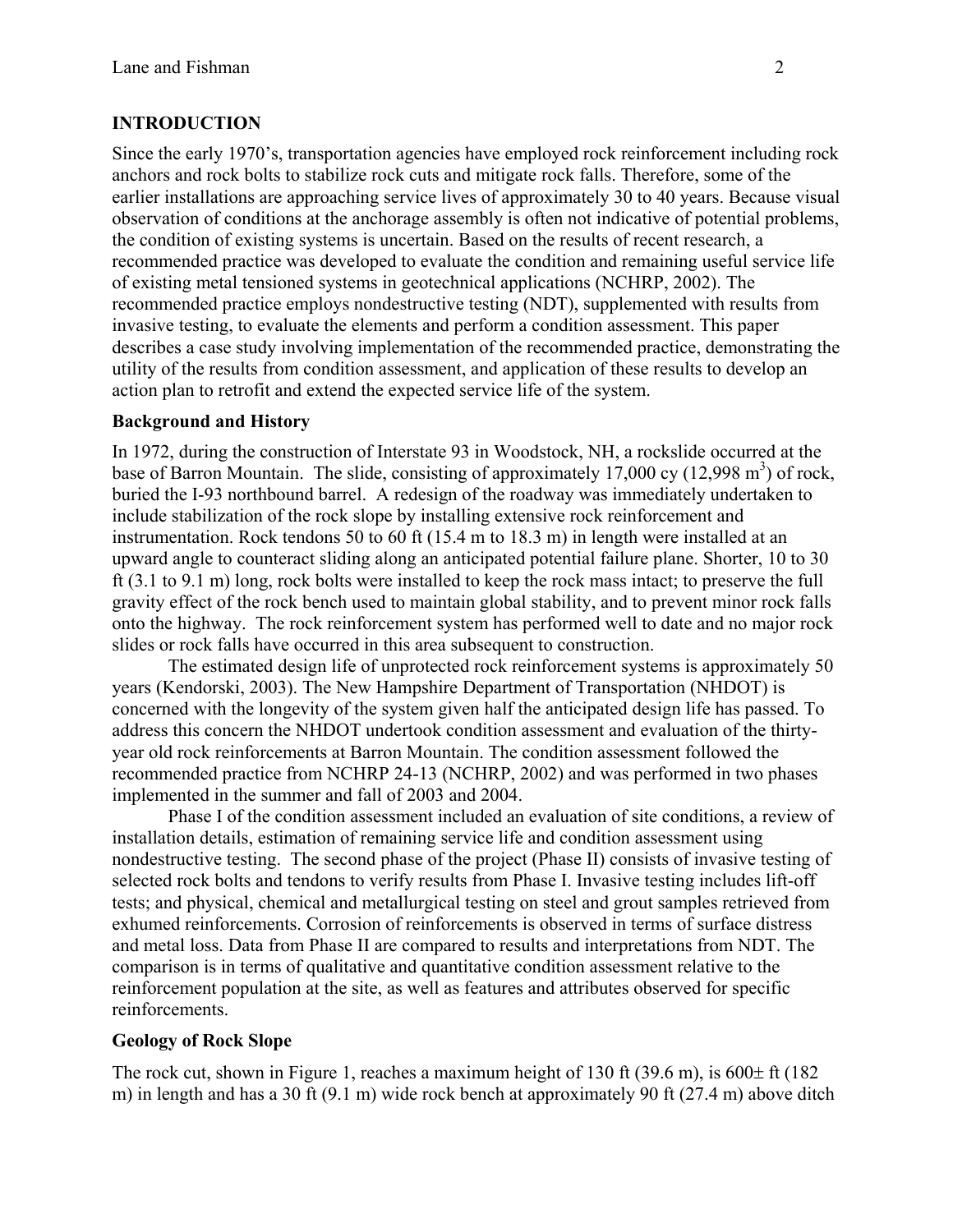# **INTRODUCTION**

Since the early 1970's, transportation agencies have employed rock reinforcement including rock anchors and rock bolts to stabilize rock cuts and mitigate rock falls. Therefore, some of the earlier installations are approaching service lives of approximately 30 to 40 years. Because visual observation of conditions at the anchorage assembly is often not indicative of potential problems, the condition of existing systems is uncertain. Based on the results of recent research, a recommended practice was developed to evaluate the condition and remaining useful service life of existing metal tensioned systems in geotechnical applications (NCHRP, 2002). The recommended practice employs nondestructive testing (NDT), supplemented with results from invasive testing, to evaluate the elements and perform a condition assessment. This paper describes a case study involving implementation of the recommended practice, demonstrating the utility of the results from condition assessment, and application of these results to develop an action plan to retrofit and extend the expected service life of the system.

## **Background and History**

In 1972, during the construction of Interstate 93 in Woodstock, NH, a rockslide occurred at the base of Barron Mountain. The slide, consisting of approximately  $17,000$  cy  $(12,998 \text{ m}^3)$  of rock, buried the I-93 northbound barrel. A redesign of the roadway was immediately undertaken to include stabilization of the rock slope by installing extensive rock reinforcement and instrumentation. Rock tendons 50 to 60 ft (15.4 m to 18.3 m) in length were installed at an upward angle to counteract sliding along an anticipated potential failure plane. Shorter, 10 to 30 ft (3.1 to 9.1 m) long, rock bolts were installed to keep the rock mass intact; to preserve the full gravity effect of the rock bench used to maintain global stability, and to prevent minor rock falls onto the highway. The rock reinforcement system has performed well to date and no major rock slides or rock falls have occurred in this area subsequent to construction.

The estimated design life of unprotected rock reinforcement systems is approximately 50 years (Kendorski, 2003). The New Hampshire Department of Transportation (NHDOT) is concerned with the longevity of the system given half the anticipated design life has passed. To address this concern the NHDOT undertook condition assessment and evaluation of the thirtyyear old rock reinforcements at Barron Mountain. The condition assessment followed the recommended practice from NCHRP 24-13 (NCHRP, 2002) and was performed in two phases implemented in the summer and fall of 2003 and 2004.

Phase I of the condition assessment included an evaluation of site conditions, a review of installation details, estimation of remaining service life and condition assessment using nondestructive testing. The second phase of the project (Phase II) consists of invasive testing of selected rock bolts and tendons to verify results from Phase I. Invasive testing includes lift-off tests; and physical, chemical and metallurgical testing on steel and grout samples retrieved from exhumed reinforcements. Corrosion of reinforcements is observed in terms of surface distress and metal loss. Data from Phase II are compared to results and interpretations from NDT. The comparison is in terms of qualitative and quantitative condition assessment relative to the reinforcement population at the site, as well as features and attributes observed for specific reinforcements.

## **Geology of Rock Slope**

The rock cut, shown in Figure 1, reaches a maximum height of 130 ft  $(39.6 \text{ m})$ , is  $600 \pm \text{ft}$  (182) m) in length and has a 30 ft (9.1 m) wide rock bench at approximately 90 ft (27.4 m) above ditch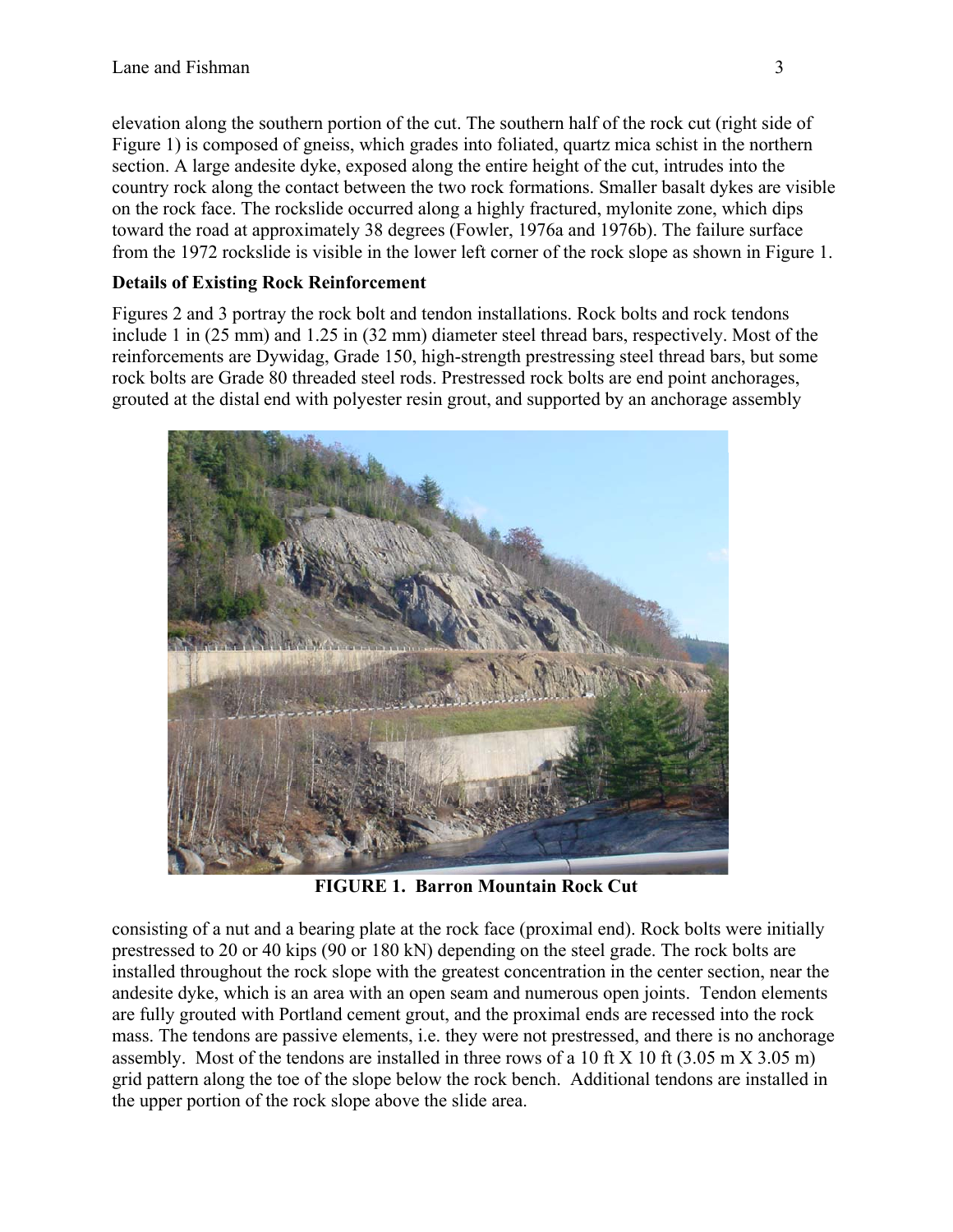elevation along the southern portion of the cut. The southern half of the rock cut (right side of Figure 1) is composed of gneiss, which grades into foliated, quartz mica schist in the northern section. A large andesite dyke, exposed along the entire height of the cut, intrudes into the country rock along the contact between the two rock formations. Smaller basalt dykes are visible on the rock face. The rockslide occurred along a highly fractured, mylonite zone, which dips toward the road at approximately 38 degrees (Fowler, 1976a and 1976b). The failure surface from the 1972 rockslide is visible in the lower left corner of the rock slope as shown in Figure 1.

# **Details of Existing Rock Reinforcement**

Figures 2 and 3 portray the rock bolt and tendon installations. Rock bolts and rock tendons include 1 in (25 mm) and 1.25 in (32 mm) diameter steel thread bars, respectively. Most of the reinforcements are Dywidag, Grade 150, high-strength prestressing steel thread bars, but some rock bolts are Grade 80 threaded steel rods. Prestressed rock bolts are end point anchorages, grouted at the distal end with polyester resin grout, and supported by an anchorage assembly



**FIGURE 1. Barron Mountain Rock Cut** 

consisting of a nut and a bearing plate at the rock face (proximal end). Rock bolts were initially prestressed to 20 or 40 kips (90 or 180 kN) depending on the steel grade. The rock bolts are installed throughout the rock slope with the greatest concentration in the center section, near the andesite dyke, which is an area with an open seam and numerous open joints. Tendon elements are fully grouted with Portland cement grout, and the proximal ends are recessed into the rock mass. The tendons are passive elements, i.e. they were not prestressed, and there is no anchorage assembly. Most of the tendons are installed in three rows of a 10 ft X 10 ft (3.05 m X 3.05 m) grid pattern along the toe of the slope below the rock bench. Additional tendons are installed in the upper portion of the rock slope above the slide area.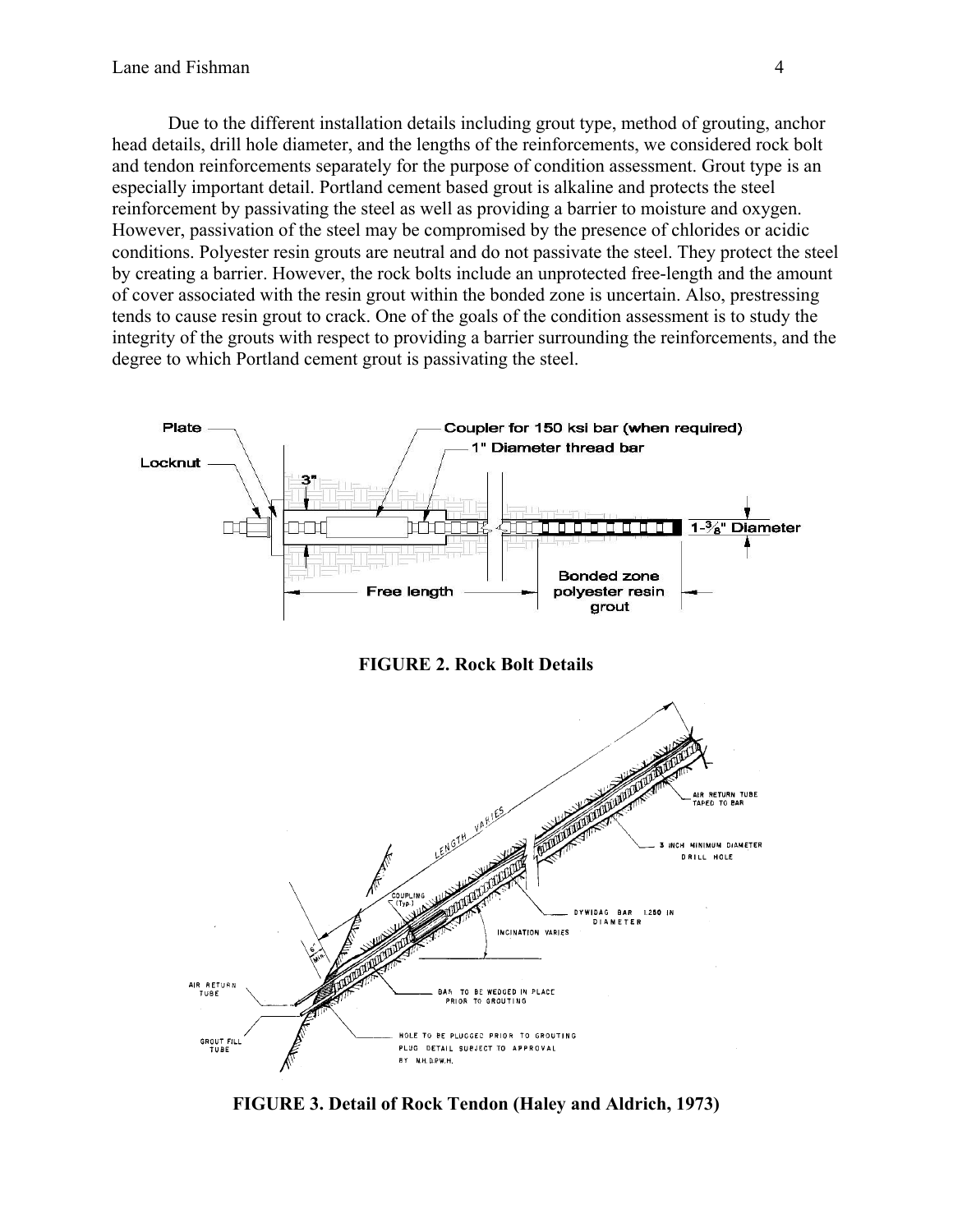Due to the different installation details including grout type, method of grouting, anchor head details, drill hole diameter, and the lengths of the reinforcements, we considered rock bolt and tendon reinforcements separately for the purpose of condition assessment. Grout type is an especially important detail. Portland cement based grout is alkaline and protects the steel reinforcement by passivating the steel as well as providing a barrier to moisture and oxygen. However, passivation of the steel may be compromised by the presence of chlorides or acidic conditions. Polyester resin grouts are neutral and do not passivate the steel. They protect the steel by creating a barrier. However, the rock bolts include an unprotected free-length and the amount of cover associated with the resin grout within the bonded zone is uncertain. Also, prestressing tends to cause resin grout to crack. One of the goals of the condition assessment is to study the integrity of the grouts with respect to providing a barrier surrounding the reinforcements, and the degree to which Portland cement grout is passivating the steel.



**FIGURE 3. Detail of Rock Tendon (Haley and Aldrich, 1973)**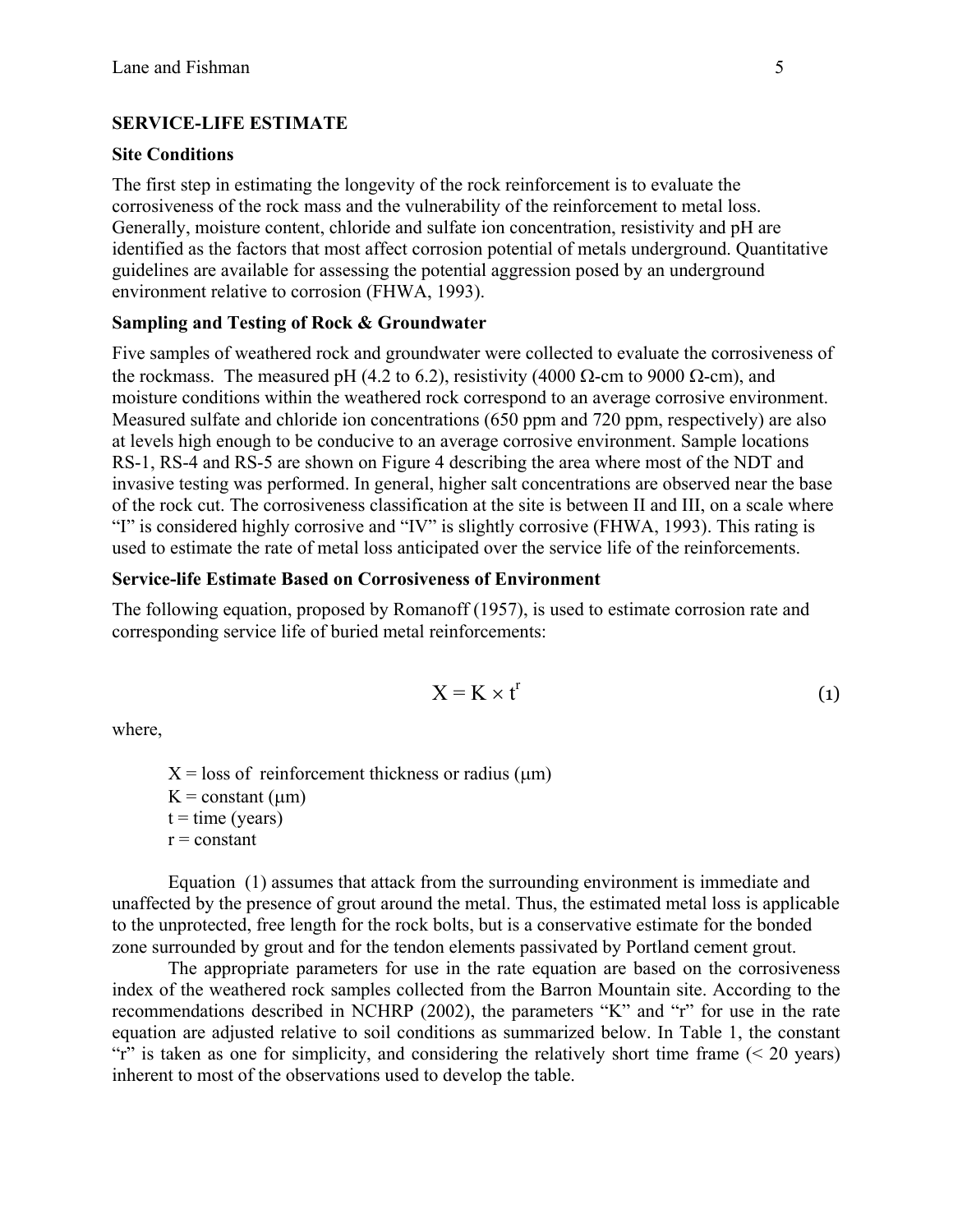## **SERVICE-LIFE ESTIMATE**

## **Site Conditions**

The first step in estimating the longevity of the rock reinforcement is to evaluate the corrosiveness of the rock mass and the vulnerability of the reinforcement to metal loss. Generally, moisture content, chloride and sulfate ion concentration, resistivity and pH are identified as the factors that most affect corrosion potential of metals underground. Quantitative guidelines are available for assessing the potential aggression posed by an underground environment relative to corrosion (FHWA, 1993).

## **Sampling and Testing of Rock & Groundwater**

Five samples of weathered rock and groundwater were collected to evaluate the corrosiveness of the rockmass. The measured pH (4.2 to 6.2), resistivity (4000 Ω-cm to 9000 Ω-cm), and moisture conditions within the weathered rock correspond to an average corrosive environment. Measured sulfate and chloride ion concentrations (650 ppm and 720 ppm, respectively) are also at levels high enough to be conducive to an average corrosive environment. Sample locations RS-1, RS-4 and RS-5 are shown on Figure 4 describing the area where most of the NDT and invasive testing was performed. In general, higher salt concentrations are observed near the base of the rock cut. The corrosiveness classification at the site is between II and III, on a scale where "I" is considered highly corrosive and "IV" is slightly corrosive (FHWA, 1993). This rating is used to estimate the rate of metal loss anticipated over the service life of the reinforcements.

#### **Service-life Estimate Based on Corrosiveness of Environment**

The following equation, proposed by Romanoff (1957), is used to estimate corrosion rate and corresponding service life of buried metal reinforcements:

$$
X = K \times t^{r}
$$
 (1)

where,

 $X =$ loss of reinforcement thickness or radius ( $\mu$ m)  $K = constant (µm)$  $t = time (years)$  $r = constant$ 

Equation (1) assumes that attack from the surrounding environment is immediate and unaffected by the presence of grout around the metal. Thus, the estimated metal loss is applicable to the unprotected, free length for the rock bolts, but is a conservative estimate for the bonded zone surrounded by grout and for the tendon elements passivated by Portland cement grout.

The appropriate parameters for use in the rate equation are based on the corrosiveness index of the weathered rock samples collected from the Barron Mountain site. According to the recommendations described in NCHRP (2002), the parameters "K" and "r" for use in the rate equation are adjusted relative to soil conditions as summarized below. In Table 1, the constant "r" is taken as one for simplicity, and considering the relatively short time frame  $($   $\leq$  20 years) inherent to most of the observations used to develop the table.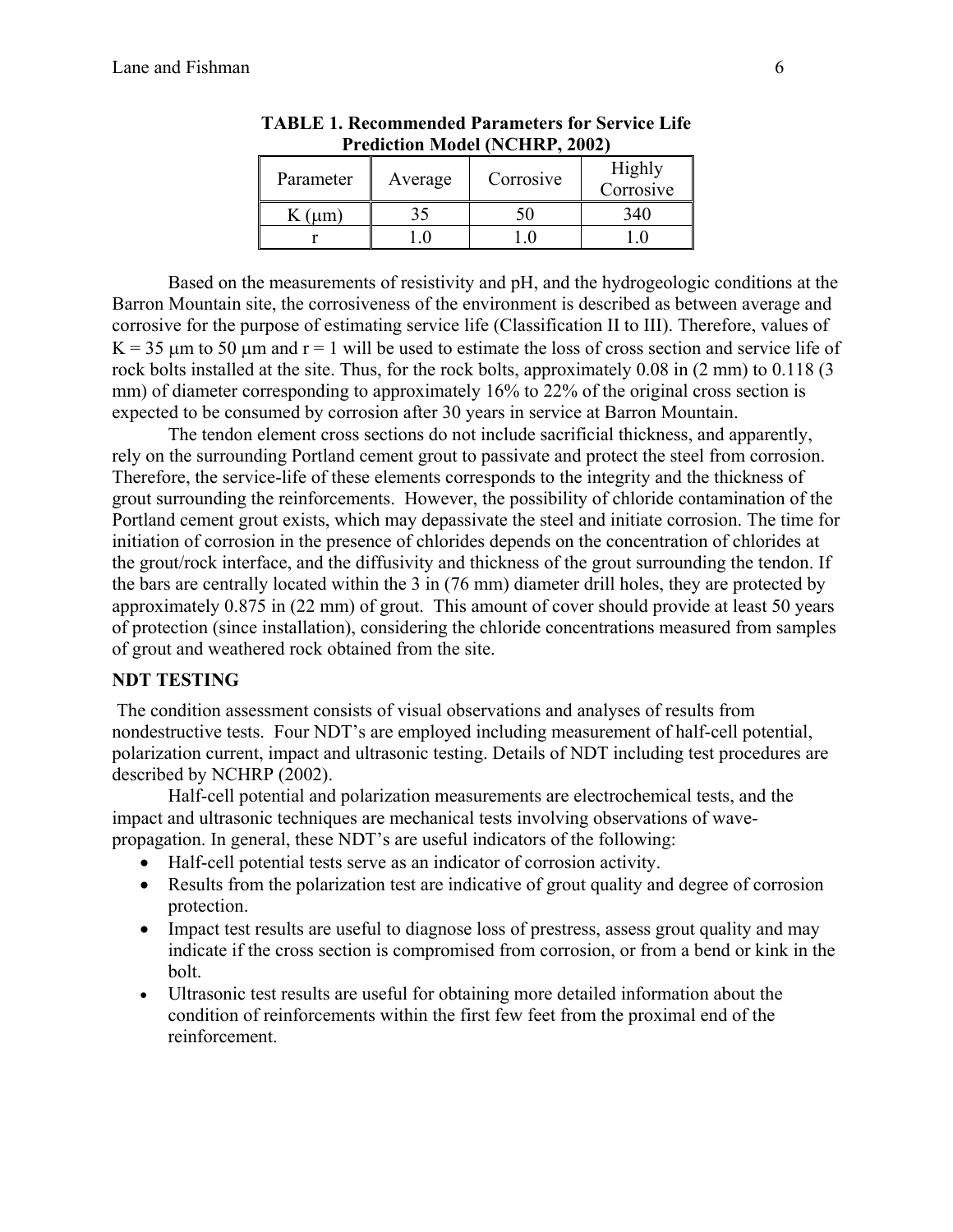| Parameter | Average | Corrosive | Highly<br>Corrosive |
|-----------|---------|-----------|---------------------|
|           |         |           |                     |
|           |         |           |                     |

**TABLE 1. Recommended Parameters for Service Life Prediction Model (NCHRP, 2002)** 

Based on the measurements of resistivity and pH, and the hydrogeologic conditions at the Barron Mountain site, the corrosiveness of the environment is described as between average and corrosive for the purpose of estimating service life (Classification II to III). Therefore, values of  $K = 35$  um to 50 um and  $r = 1$  will be used to estimate the loss of cross section and service life of rock bolts installed at the site. Thus, for the rock bolts, approximately 0.08 in (2 mm) to 0.118 (3 mm) of diameter corresponding to approximately 16% to 22% of the original cross section is expected to be consumed by corrosion after 30 years in service at Barron Mountain.

The tendon element cross sections do not include sacrificial thickness, and apparently, rely on the surrounding Portland cement grout to passivate and protect the steel from corrosion. Therefore, the service-life of these elements corresponds to the integrity and the thickness of grout surrounding the reinforcements. However, the possibility of chloride contamination of the Portland cement grout exists, which may depassivate the steel and initiate corrosion. The time for initiation of corrosion in the presence of chlorides depends on the concentration of chlorides at the grout/rock interface, and the diffusivity and thickness of the grout surrounding the tendon. If the bars are centrally located within the 3 in (76 mm) diameter drill holes, they are protected by approximately 0.875 in (22 mm) of grout. This amount of cover should provide at least 50 years of protection (since installation), considering the chloride concentrations measured from samples of grout and weathered rock obtained from the site.

#### **NDT TESTING**

 The condition assessment consists of visual observations and analyses of results from nondestructive tests. Four NDT's are employed including measurement of half-cell potential, polarization current, impact and ultrasonic testing. Details of NDT including test procedures are described by NCHRP (2002).

Half-cell potential and polarization measurements are electrochemical tests, and the impact and ultrasonic techniques are mechanical tests involving observations of wavepropagation. In general, these NDT's are useful indicators of the following:

- Half-cell potential tests serve as an indicator of corrosion activity.
- Results from the polarization test are indicative of grout quality and degree of corrosion protection.
- Impact test results are useful to diagnose loss of prestress, assess grout quality and may indicate if the cross section is compromised from corrosion, or from a bend or kink in the bolt.
- Ultrasonic test results are useful for obtaining more detailed information about the condition of reinforcements within the first few feet from the proximal end of the reinforcement.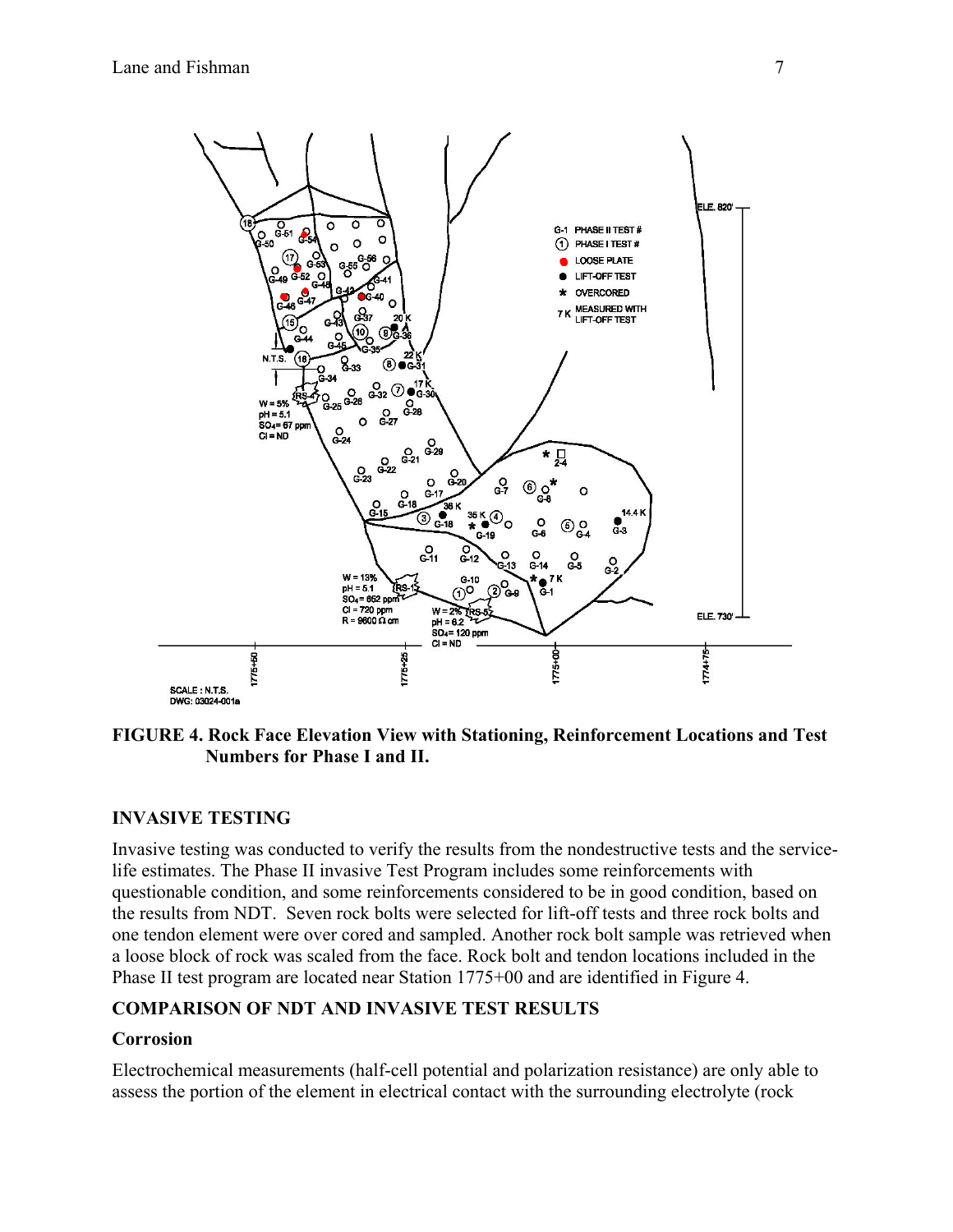

## **FIGURE 4. Rock Face Elevation View with Stationing, Reinforcement Locations and Test Numbers for Phase I and II.**

## **INVASIVE TESTING**

Invasive testing was conducted to verify the results from the nondestructive tests and the servicelife estimates. The Phase II invasive Test Program includes some reinforcements with questionable condition, and some reinforcements considered to be in good condition, based on the results from NDT. Seven rock bolts were selected for lift-off tests and three rock bolts and one tendon element were over cored and sampled. Another rock bolt sample was retrieved when a loose block of rock was scaled from the face. Rock bolt and tendon locations included in the Phase II test program are located near Station 1775+00 and are identified in Figure 4.

## **COMPARISON OF NDT AND INVASIVE TEST RESULTS**

## **Corrosion**

Electrochemical measurements (half-cell potential and polarization resistance) are only able to assess the portion of the element in electrical contact with the surrounding electrolyte (rock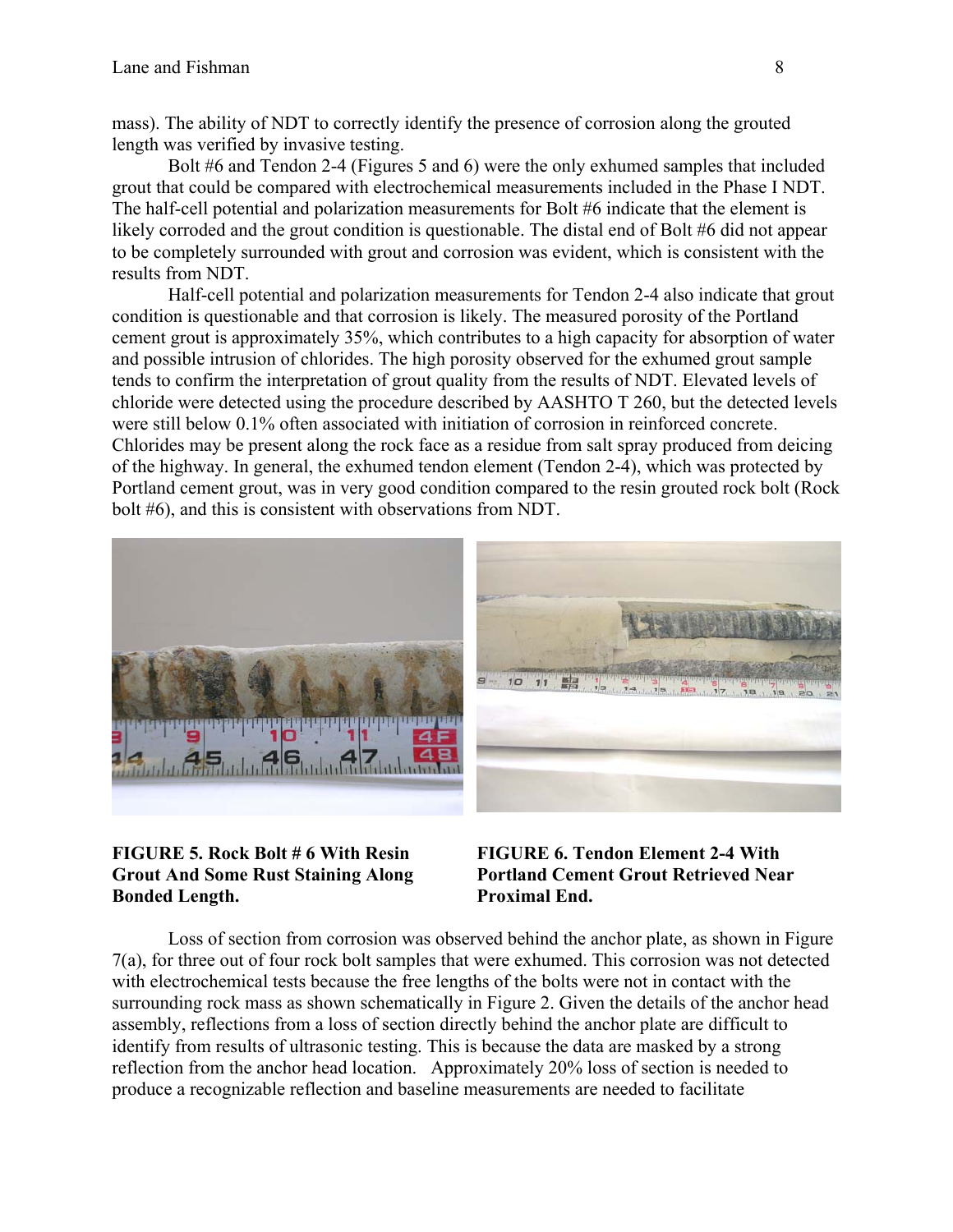mass). The ability of NDT to correctly identify the presence of corrosion along the grouted length was verified by invasive testing.

Bolt #6 and Tendon 2-4 (Figures 5 and 6) were the only exhumed samples that included grout that could be compared with electrochemical measurements included in the Phase I NDT. The half-cell potential and polarization measurements for Bolt #6 indicate that the element is likely corroded and the grout condition is questionable. The distal end of Bolt #6 did not appear to be completely surrounded with grout and corrosion was evident, which is consistent with the results from NDT.

Half-cell potential and polarization measurements for Tendon 2-4 also indicate that grout condition is questionable and that corrosion is likely. The measured porosity of the Portland cement grout is approximately 35%, which contributes to a high capacity for absorption of water and possible intrusion of chlorides. The high porosity observed for the exhumed grout sample tends to confirm the interpretation of grout quality from the results of NDT. Elevated levels of chloride were detected using the procedure described by AASHTO T 260, but the detected levels were still below 0.1% often associated with initiation of corrosion in reinforced concrete. Chlorides may be present along the rock face as a residue from salt spray produced from deicing of the highway. In general, the exhumed tendon element (Tendon 2-4), which was protected by Portland cement grout, was in very good condition compared to the resin grouted rock bolt (Rock bolt #6), and this is consistent with observations from NDT.



## **FIGURE 5. Rock Bolt # 6 With Resin Grout And Some Rust Staining Along Bonded Length.**

**FIGURE 6. Tendon Element 2-4 With Portland Cement Grout Retrieved Near Proximal End.** 

Loss of section from corrosion was observed behind the anchor plate, as shown in Figure 7(a), for three out of four rock bolt samples that were exhumed. This corrosion was not detected with electrochemical tests because the free lengths of the bolts were not in contact with the surrounding rock mass as shown schematically in Figure 2. Given the details of the anchor head assembly, reflections from a loss of section directly behind the anchor plate are difficult to identify from results of ultrasonic testing. This is because the data are masked by a strong reflection from the anchor head location. Approximately 20% loss of section is needed to produce a recognizable reflection and baseline measurements are needed to facilitate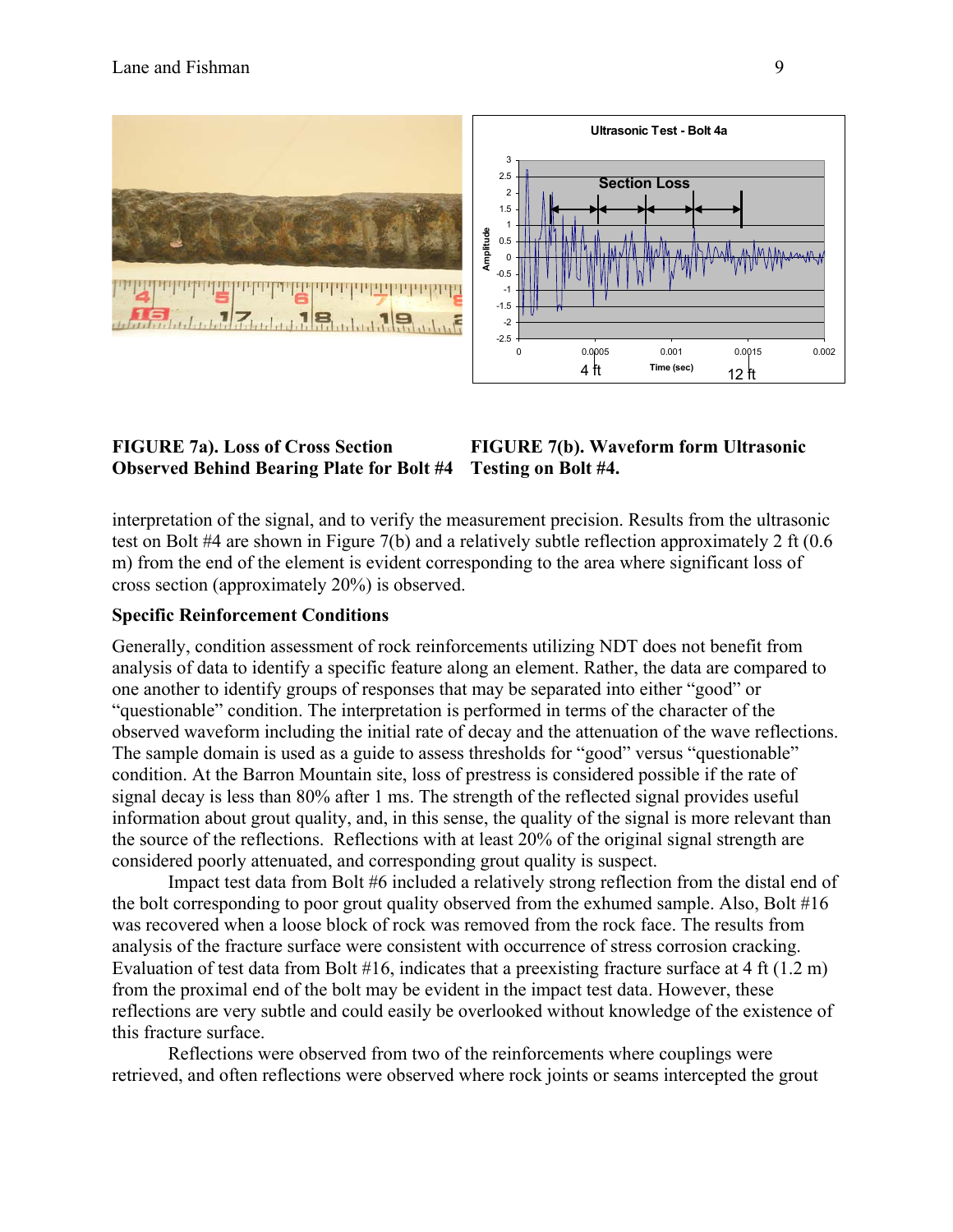

### **FIGURE 7a). Loss of Cross Section Observed Behind Bearing Plate for Bolt #4 Testing on Bolt #4.**

# **FIGURE 7(b). Waveform form Ultrasonic**

interpretation of the signal, and to verify the measurement precision. Results from the ultrasonic test on Bolt #4 are shown in Figure 7(b) and a relatively subtle reflection approximately 2 ft (0.6 m) from the end of the element is evident corresponding to the area where significant loss of cross section (approximately 20%) is observed.

## **Specific Reinforcement Conditions**

Generally, condition assessment of rock reinforcements utilizing NDT does not benefit from analysis of data to identify a specific feature along an element. Rather, the data are compared to one another to identify groups of responses that may be separated into either "good" or "questionable" condition. The interpretation is performed in terms of the character of the observed waveform including the initial rate of decay and the attenuation of the wave reflections. The sample domain is used as a guide to assess thresholds for "good" versus "questionable" condition. At the Barron Mountain site, loss of prestress is considered possible if the rate of signal decay is less than 80% after 1 ms. The strength of the reflected signal provides useful information about grout quality, and, in this sense, the quality of the signal is more relevant than the source of the reflections. Reflections with at least 20% of the original signal strength are considered poorly attenuated, and corresponding grout quality is suspect.

Impact test data from Bolt #6 included a relatively strong reflection from the distal end of the bolt corresponding to poor grout quality observed from the exhumed sample. Also, Bolt #16 was recovered when a loose block of rock was removed from the rock face. The results from analysis of the fracture surface were consistent with occurrence of stress corrosion cracking. Evaluation of test data from Bolt #16, indicates that a preexisting fracture surface at 4 ft (1.2 m) from the proximal end of the bolt may be evident in the impact test data. However, these reflections are very subtle and could easily be overlooked without knowledge of the existence of this fracture surface.

Reflections were observed from two of the reinforcements where couplings were retrieved, and often reflections were observed where rock joints or seams intercepted the grout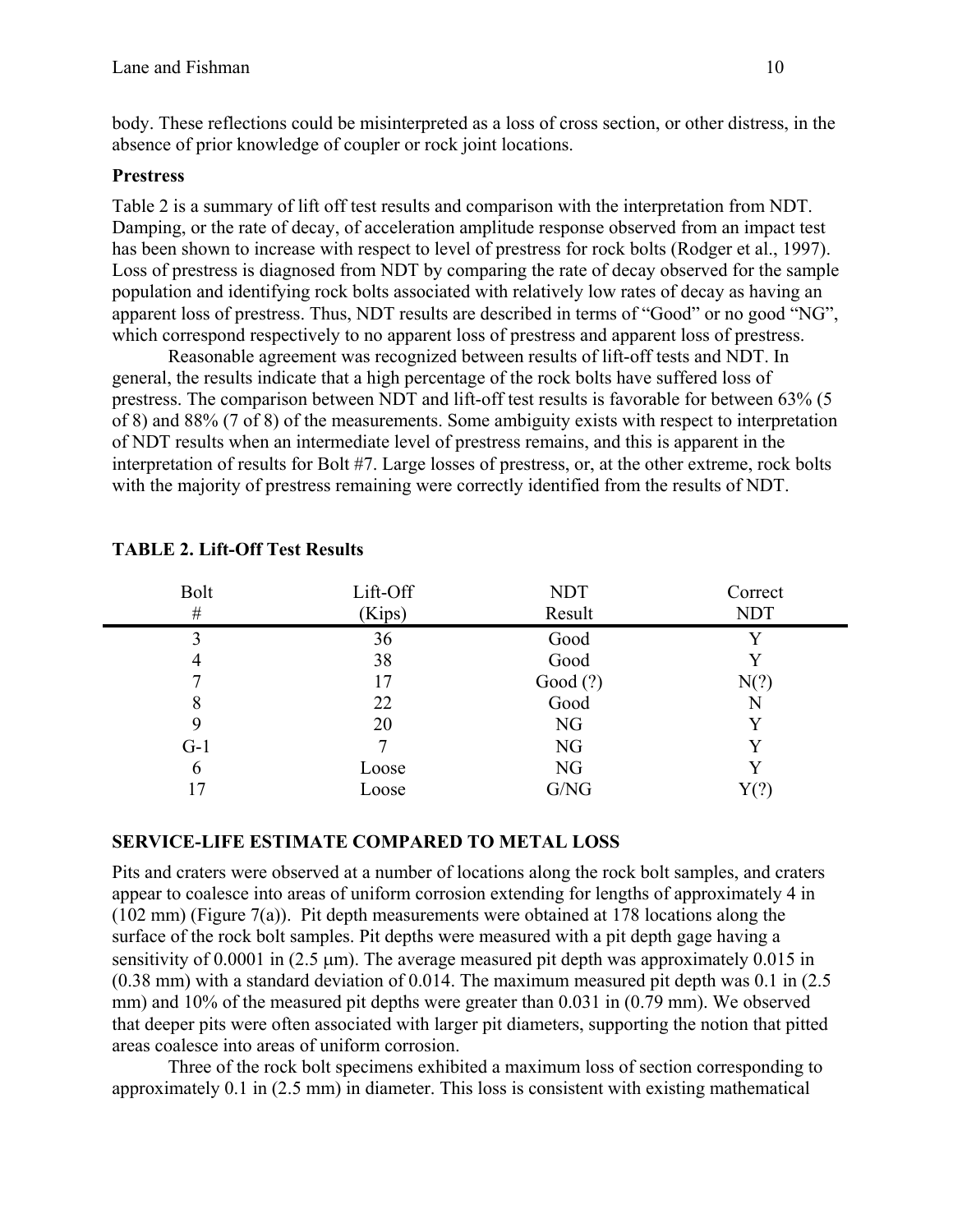body. These reflections could be misinterpreted as a loss of cross section, or other distress, in the absence of prior knowledge of coupler or rock joint locations.

## **Prestress**

Table 2 is a summary of lift off test results and comparison with the interpretation from NDT. Damping, or the rate of decay, of acceleration amplitude response observed from an impact test has been shown to increase with respect to level of prestress for rock bolts (Rodger et al., 1997). Loss of prestress is diagnosed from NDT by comparing the rate of decay observed for the sample population and identifying rock bolts associated with relatively low rates of decay as having an apparent loss of prestress. Thus, NDT results are described in terms of "Good" or no good "NG", which correspond respectively to no apparent loss of prestress and apparent loss of prestress.

Reasonable agreement was recognized between results of lift-off tests and NDT. In general, the results indicate that a high percentage of the rock bolts have suffered loss of prestress. The comparison between NDT and lift-off test results is favorable for between 63% (5 of 8) and 88% (7 of 8) of the measurements. Some ambiguity exists with respect to interpretation of NDT results when an intermediate level of prestress remains, and this is apparent in the interpretation of results for Bolt #7. Large losses of prestress, or, at the other extreme, rock bolts with the majority of prestress remaining were correctly identified from the results of NDT.

| <b>Bolt</b> | Lift-Off | <b>NDT</b>     | Correct     |
|-------------|----------|----------------|-------------|
| $\#$        | (Kips)   | Result         | <b>NDT</b>  |
|             | 36       | Good           | $\mathbf v$ |
| 4           | 38       | Good           |             |
|             | 17       | Good $(?)$     | N(?)        |
| 8           | 22       | Good           | N           |
| 9           | 20       | NG             |             |
| $G-1$       |          | N <sub>G</sub> |             |
| 6           | Loose    | NG             |             |
|             | Loose    | G/NG           |             |

## **TABLE 2. Lift-Off Test Results**

## **SERVICE-LIFE ESTIMATE COMPARED TO METAL LOSS**

Pits and craters were observed at a number of locations along the rock bolt samples, and craters appear to coalesce into areas of uniform corrosion extending for lengths of approximately 4 in (102 mm) (Figure 7(a)). Pit depth measurements were obtained at 178 locations along the surface of the rock bolt samples. Pit depths were measured with a pit depth gage having a sensitivity of 0.0001 in  $(2.5 \text{ nm})$ . The average measured pit depth was approximately 0.015 in (0.38 mm) with a standard deviation of 0.014. The maximum measured pit depth was 0.1 in (2.5 mm) and 10% of the measured pit depths were greater than 0.031 in (0.79 mm). We observed that deeper pits were often associated with larger pit diameters, supporting the notion that pitted areas coalesce into areas of uniform corrosion.

Three of the rock bolt specimens exhibited a maximum loss of section corresponding to approximately 0.1 in (2.5 mm) in diameter. This loss is consistent with existing mathematical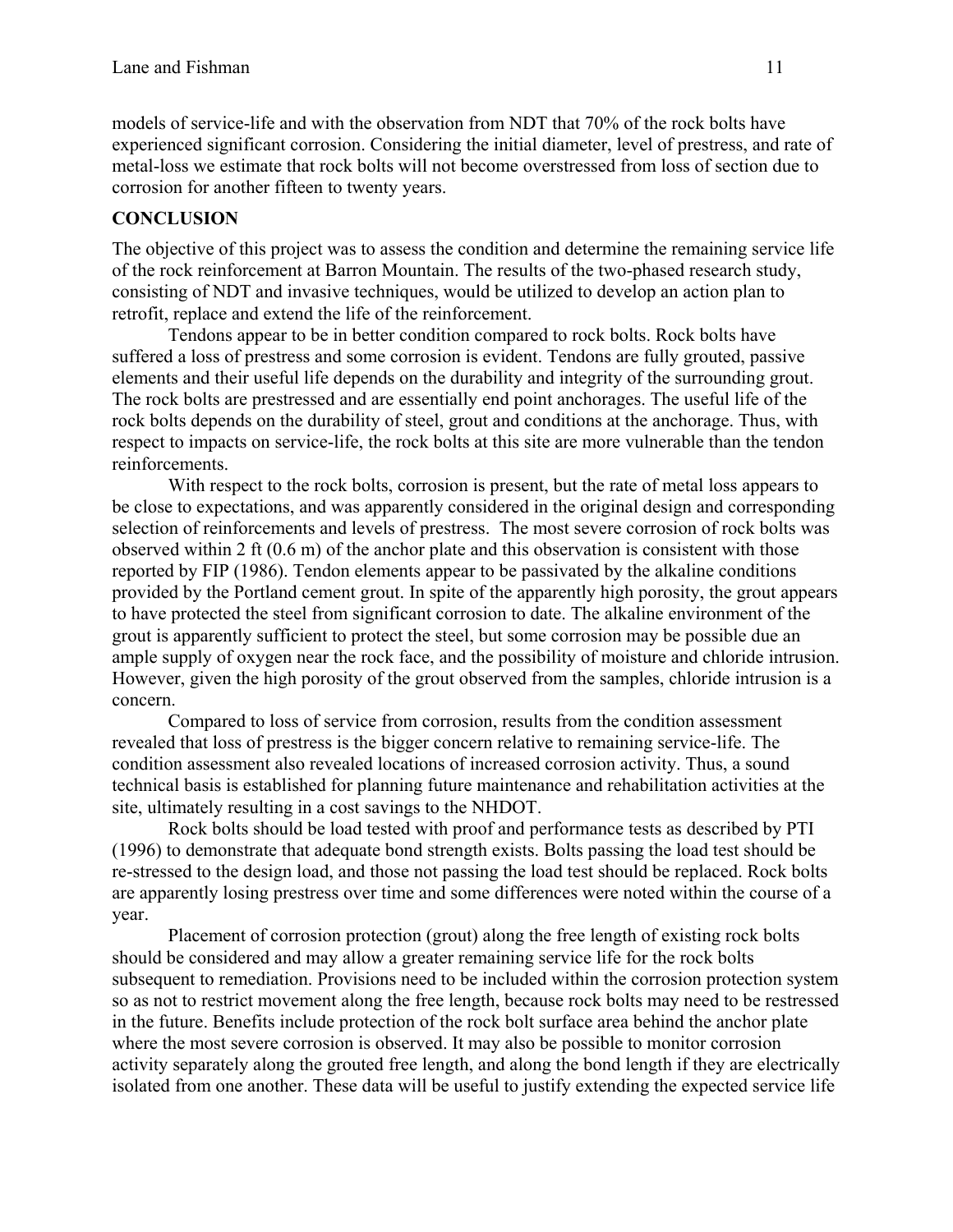models of service-life and with the observation from NDT that 70% of the rock bolts have experienced significant corrosion. Considering the initial diameter, level of prestress, and rate of metal-loss we estimate that rock bolts will not become overstressed from loss of section due to corrosion for another fifteen to twenty years.

## **CONCLUSION**

The objective of this project was to assess the condition and determine the remaining service life of the rock reinforcement at Barron Mountain. The results of the two-phased research study, consisting of NDT and invasive techniques, would be utilized to develop an action plan to retrofit, replace and extend the life of the reinforcement.

Tendons appear to be in better condition compared to rock bolts. Rock bolts have suffered a loss of prestress and some corrosion is evident. Tendons are fully grouted, passive elements and their useful life depends on the durability and integrity of the surrounding grout. The rock bolts are prestressed and are essentially end point anchorages. The useful life of the rock bolts depends on the durability of steel, grout and conditions at the anchorage. Thus, with respect to impacts on service-life, the rock bolts at this site are more vulnerable than the tendon reinforcements.

With respect to the rock bolts, corrosion is present, but the rate of metal loss appears to be close to expectations, and was apparently considered in the original design and corresponding selection of reinforcements and levels of prestress. The most severe corrosion of rock bolts was observed within 2 ft (0.6 m) of the anchor plate and this observation is consistent with those reported by FIP (1986). Tendon elements appear to be passivated by the alkaline conditions provided by the Portland cement grout. In spite of the apparently high porosity, the grout appears to have protected the steel from significant corrosion to date. The alkaline environment of the grout is apparently sufficient to protect the steel, but some corrosion may be possible due an ample supply of oxygen near the rock face, and the possibility of moisture and chloride intrusion. However, given the high porosity of the grout observed from the samples, chloride intrusion is a concern.

Compared to loss of service from corrosion, results from the condition assessment revealed that loss of prestress is the bigger concern relative to remaining service-life. The condition assessment also revealed locations of increased corrosion activity. Thus, a sound technical basis is established for planning future maintenance and rehabilitation activities at the site, ultimately resulting in a cost savings to the NHDOT.

Rock bolts should be load tested with proof and performance tests as described by PTI (1996) to demonstrate that adequate bond strength exists. Bolts passing the load test should be re-stressed to the design load, and those not passing the load test should be replaced. Rock bolts are apparently losing prestress over time and some differences were noted within the course of a year.

Placement of corrosion protection (grout) along the free length of existing rock bolts should be considered and may allow a greater remaining service life for the rock bolts subsequent to remediation. Provisions need to be included within the corrosion protection system so as not to restrict movement along the free length, because rock bolts may need to be restressed in the future. Benefits include protection of the rock bolt surface area behind the anchor plate where the most severe corrosion is observed. It may also be possible to monitor corrosion activity separately along the grouted free length, and along the bond length if they are electrically isolated from one another. These data will be useful to justify extending the expected service life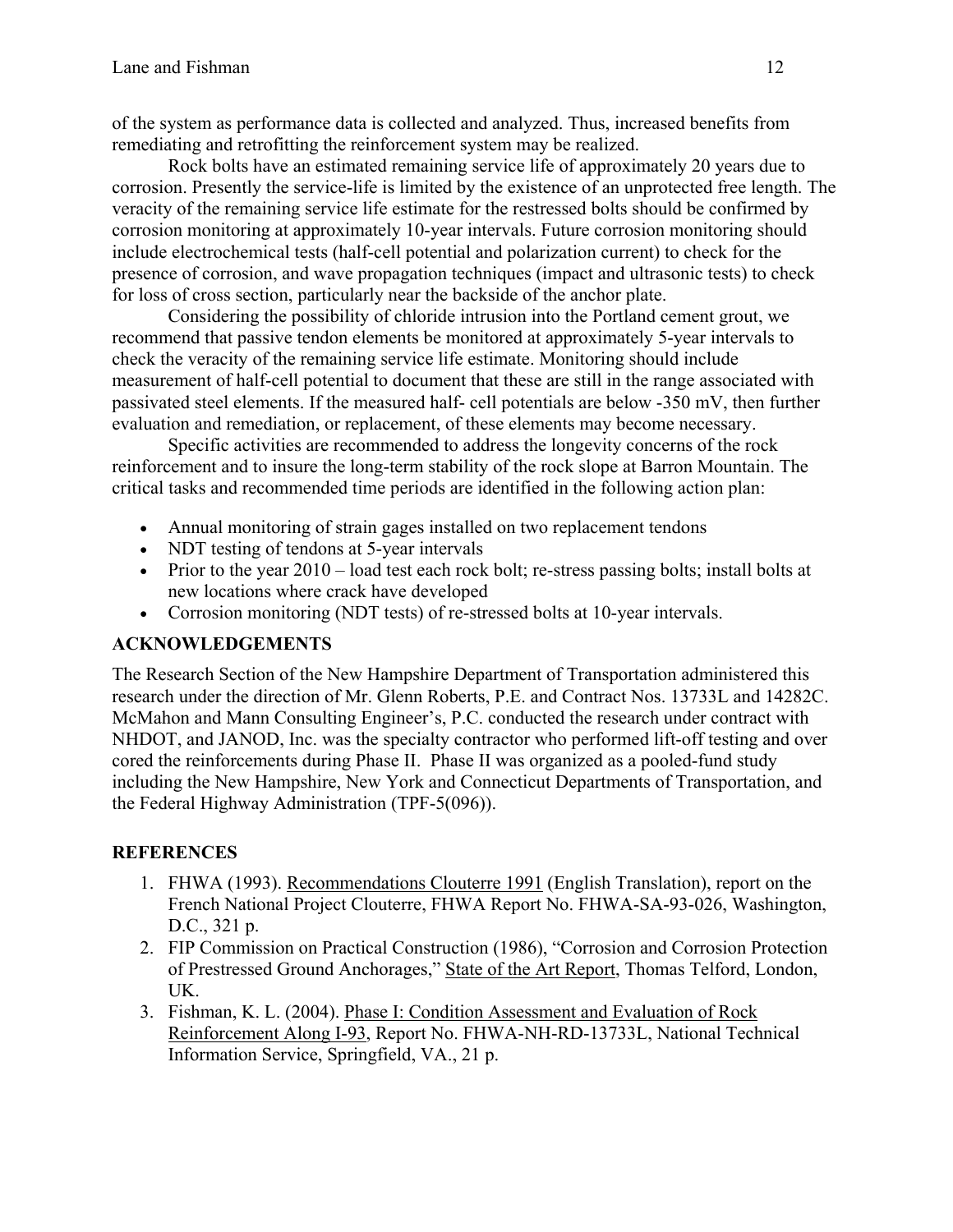of the system as performance data is collected and analyzed. Thus, increased benefits from remediating and retrofitting the reinforcement system may be realized.

Rock bolts have an estimated remaining service life of approximately 20 years due to corrosion. Presently the service-life is limited by the existence of an unprotected free length. The veracity of the remaining service life estimate for the restressed bolts should be confirmed by corrosion monitoring at approximately 10-year intervals. Future corrosion monitoring should include electrochemical tests (half-cell potential and polarization current) to check for the presence of corrosion, and wave propagation techniques (impact and ultrasonic tests) to check for loss of cross section, particularly near the backside of the anchor plate.

Considering the possibility of chloride intrusion into the Portland cement grout, we recommend that passive tendon elements be monitored at approximately 5-year intervals to check the veracity of the remaining service life estimate. Monitoring should include measurement of half-cell potential to document that these are still in the range associated with passivated steel elements. If the measured half- cell potentials are below -350 mV, then further evaluation and remediation, or replacement, of these elements may become necessary.

Specific activities are recommended to address the longevity concerns of the rock reinforcement and to insure the long-term stability of the rock slope at Barron Mountain. The critical tasks and recommended time periods are identified in the following action plan:

- Annual monitoring of strain gages installed on two replacement tendons
- NDT testing of tendons at 5-year intervals
- Prior to the year  $2010 load$  test each rock bolt; re-stress passing bolts; install bolts at new locations where crack have developed
- Corrosion monitoring (NDT tests) of re-stressed bolts at 10-year intervals.

## **ACKNOWLEDGEMENTS**

The Research Section of the New Hampshire Department of Transportation administered this research under the direction of Mr. Glenn Roberts, P.E. and Contract Nos. 13733L and 14282C. McMahon and Mann Consulting Engineer's, P.C. conducted the research under contract with NHDOT, and JANOD, Inc. was the specialty contractor who performed lift-off testing and over cored the reinforcements during Phase II. Phase II was organized as a pooled-fund study including the New Hampshire, New York and Connecticut Departments of Transportation, and the Federal Highway Administration (TPF-5(096)).

## **REFERENCES**

- 1. FHWA (1993). Recommendations Clouterre 1991 (English Translation), report on the French National Project Clouterre, FHWA Report No. FHWA-SA-93-026, Washington, D.C., 321 p.
- 2. FIP Commission on Practical Construction (1986), "Corrosion and Corrosion Protection of Prestressed Ground Anchorages," State of the Art Report, Thomas Telford, London, UK.
- 3. Fishman, K. L. (2004). Phase I: Condition Assessment and Evaluation of Rock Reinforcement Along I-93, Report No. FHWA-NH-RD-13733L, National Technical Information Service, Springfield, VA., 21 p.